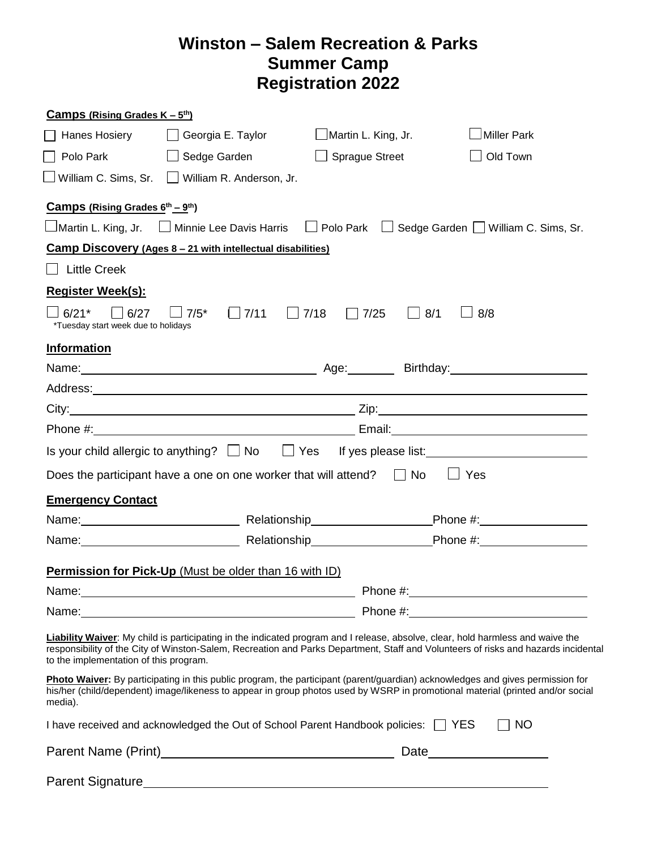## **Winston – Salem Recreation & Parks Summer Camp Registration 2022**

| <b>Camps (Rising Grades K – <math>5th</math>)</b>           |                                                                                         |                                                   |                                                                                                                                                                                                                                                                       |  |
|-------------------------------------------------------------|-----------------------------------------------------------------------------------------|---------------------------------------------------|-----------------------------------------------------------------------------------------------------------------------------------------------------------------------------------------------------------------------------------------------------------------------|--|
| $\Box$ Hanes Hosiery                                        | Georgia E. Taylor                                                                       | $\Box$ Martin L. King, Jr.                        | <b>Miller Park</b>                                                                                                                                                                                                                                                    |  |
| Polo Park                                                   | Sedge Garden                                                                            | $\Box$ Sprague Street                             | Old Town                                                                                                                                                                                                                                                              |  |
|                                                             | William C. Sims, Sr. William R. Anderson, Jr.                                           |                                                   |                                                                                                                                                                                                                                                                       |  |
| <b>Camps (Rising Grades <math>6^{th} - 9^{th}</math>)</b>   |                                                                                         |                                                   |                                                                                                                                                                                                                                                                       |  |
|                                                             |                                                                                         |                                                   | □Martin L. King, Jr. □ Minnie Lee Davis Harris □ Polo Park □ Sedge Garden □ William C. Sims, Sr.                                                                                                                                                                      |  |
|                                                             | Camp Discovery (Ages 8 - 21 with intellectual disabilities)                             |                                                   |                                                                                                                                                                                                                                                                       |  |
| $\Box$ Little Creek                                         |                                                                                         |                                                   |                                                                                                                                                                                                                                                                       |  |
| <b>Register Week(s):</b>                                    |                                                                                         |                                                   |                                                                                                                                                                                                                                                                       |  |
| $\Box$ 6/21*<br>6/27<br>*Tuesday start week due to holidays | $\Box$ 7/5*<br>$\Box$ 7/11                                                              | $\Box$ 7/18<br>$\Box$ 7/25<br>8/1<br>$\mathbf{L}$ | 8/8                                                                                                                                                                                                                                                                   |  |
| <b>Information</b>                                          |                                                                                         |                                                   |                                                                                                                                                                                                                                                                       |  |
|                                                             |                                                                                         |                                                   | Name: Name: Name: Name: Name: Name: Name: Name: Name: Name: Name: Name: Name: Name: Name: Name: Name: Name: Name: Name: Name: Name: Name: Name: Name: Name: Name: Name: Name: Name: Name: Name: Name: Name: Name: Name: Name:                                         |  |
|                                                             |                                                                                         |                                                   |                                                                                                                                                                                                                                                                       |  |
|                                                             |                                                                                         |                                                   |                                                                                                                                                                                                                                                                       |  |
|                                                             |                                                                                         |                                                   | Email: 2008. 2009. 2010. 2010. 2010. 2010. 2010. 2010. 2010. 2010. 2011. 2012. 2012. 2012. 2012. 2013. 2014. 20                                                                                                                                                       |  |
|                                                             |                                                                                         |                                                   | Is your child allergic to anything? □ No □ Yes If yes please list: ________________________________                                                                                                                                                                   |  |
|                                                             | Does the participant have a one on one worker that will attend? $\Box$ No               |                                                   | $\Box$ Yes                                                                                                                                                                                                                                                            |  |
| <b>Emergency Contact</b>                                    |                                                                                         |                                                   |                                                                                                                                                                                                                                                                       |  |
|                                                             |                                                                                         |                                                   |                                                                                                                                                                                                                                                                       |  |
|                                                             |                                                                                         |                                                   |                                                                                                                                                                                                                                                                       |  |
|                                                             | <b>Permission for Pick-Up</b> (Must be older than 16 with ID)                           |                                                   |                                                                                                                                                                                                                                                                       |  |
| Name:                                                       |                                                                                         |                                                   |                                                                                                                                                                                                                                                                       |  |
| <u> 1989 - Johann Barn, amerikansk politiker (</u>          |                                                                                         |                                                   |                                                                                                                                                                                                                                                                       |  |
| to the implementation of this program.                      |                                                                                         |                                                   | Liability Waiver: My child is participating in the indicated program and I release, absolve, clear, hold harmless and waive the<br>responsibility of the City of Winston-Salem, Recreation and Parks Department, Staff and Volunteers of risks and hazards incidental |  |
| media).                                                     |                                                                                         |                                                   | Photo Waiver: By participating in this public program, the participant (parent/guardian) acknowledges and gives permission for<br>his/her (child/dependent) image/likeness to appear in group photos used by WSRP in promotional material (printed and/or social      |  |
|                                                             | I have received and acknowledged the Out of School Parent Handbook policies: $\Box$ YES |                                                   | $\Box$ NO                                                                                                                                                                                                                                                             |  |
|                                                             |                                                                                         |                                                   |                                                                                                                                                                                                                                                                       |  |
|                                                             |                                                                                         |                                                   |                                                                                                                                                                                                                                                                       |  |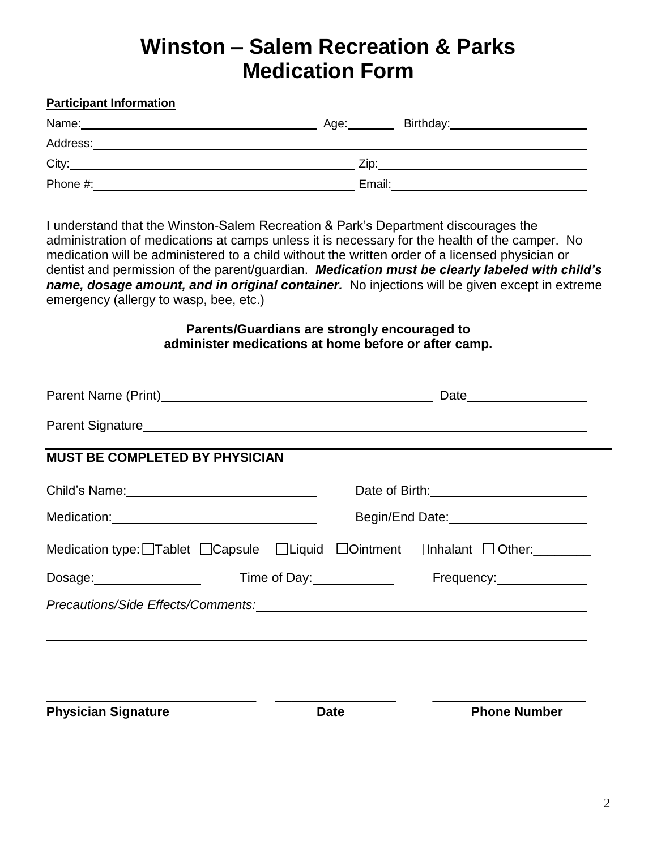# **Winston – Salem Recreation & Parks Medication Form**

#### **Participant Information**

| Name:    | Birthday:<br>Age: |
|----------|-------------------|
| Address: |                   |
| City:    | Zip:              |
| Phone #: | Email:            |

I understand that the Winston-Salem Recreation & Park's Department discourages the administration of medications at camps unless it is necessary for the health of the camper. No medication will be administered to a child without the written order of a licensed physician or dentist and permission of the parent/guardian. *Medication must be clearly labeled with child's name, dosage amount, and in original container.* No injections will be given except in extreme emergency (allergy to wasp, bee, etc.)

#### **Parents/Guardians are strongly encouraged to administer medications at home before or after camp.**

| <b>MUST BE COMPLETED BY PHYSICIAN</b>            |                                                                                                           |
|--------------------------------------------------|-----------------------------------------------------------------------------------------------------------|
| Child's Name: __________________________________ | Date of Birth: 1999                                                                                       |
|                                                  | Begin/End Date:<br><u> Begin/End Date:</u>                                                                |
|                                                  | Medication type: $\Box$ Tablet $\Box$ Capsule $\Box$ Liquid $\Box$ Ointment $\Box$ Inhalant $\Box$ Other: |
|                                                  | Dosage: <u>Consumental Constantine of Day:</u> Constantine of Day: Constantine Prequency:                 |
|                                                  |                                                                                                           |
|                                                  |                                                                                                           |
|                                                  |                                                                                                           |
|                                                  |                                                                                                           |
| <b>Physician Signature</b>                       | <b>Phone Number</b><br><b>Date</b>                                                                        |